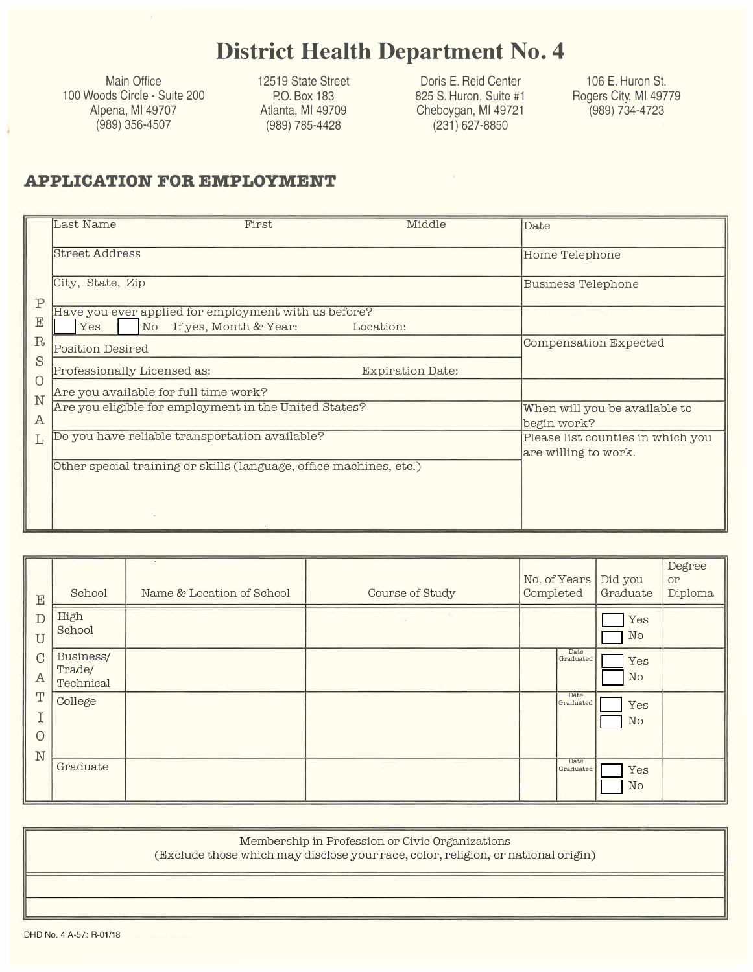## **District Health Department No. 4**

Main Office 100 Woods Circle - Suite 200 Alpena, Ml 49707 (989) 356-4507

12519 State Street P.O. Box 183 Atlanta, Ml 49709 (989) 785-4428

Doris E. Reid Center 825 S. Huron, Suite #1 Cheboygan, Ml 49721 (231) 627-8850

106 E. Huron St. Rogers City, Ml 49779 (989) 734-4723

### **APPLICATION FOR EMPLOYMENT**

| $\mathbf{P}$ | Last Name<br>First                                                                                             | Middle                  | Date                                                      |
|--------------|----------------------------------------------------------------------------------------------------------------|-------------------------|-----------------------------------------------------------|
|              | <b>Street Address</b>                                                                                          |                         | Home Telephone                                            |
|              | City, State, Zip                                                                                               |                         | <b>Business Telephone</b>                                 |
| $_{\rm E}$   | Have you ever applied for employment with us before?<br>Yes<br>$\overline{\text{No}}$<br>If yes, Month & Year: | Location:               |                                                           |
| R<br>S       | <b>Position Desired</b>                                                                                        |                         | Compensation Expected                                     |
| Ω            | Professionally Licensed as:                                                                                    | <b>Expiration Date:</b> |                                                           |
|              | Are you available for full time work?                                                                          |                         |                                                           |
| N<br>Α       | Are you eligible for employment in the United States?                                                          |                         | When will you be available to<br>begin work?              |
|              | Do you have reliable transportation available?                                                                 |                         | Please list counties in which you<br>are willing to work. |
|              | Other special training or skills (language, office machines, etc.)                                             |                         |                                                           |
|              |                                                                                                                |                         |                                                           |
|              |                                                                                                                |                         |                                                           |

| $\mathbf E$                   | School                           | Name & Location of School | Course of Study | No. of Years<br>Completed | Did you<br>Graduate | Degree<br>or<br>Diploma |
|-------------------------------|----------------------------------|---------------------------|-----------------|---------------------------|---------------------|-------------------------|
| $\mathbb{D}$<br>$\mathbf U$   | High<br>School                   |                           | w.              |                           | Yes<br>No           |                         |
| $\mathcal{C}$<br>$\mathbf{A}$ | Business/<br>Trade/<br>Technical |                           |                 | Date<br>Graduated         | Yes<br>No           |                         |
| $\mathbf T$<br>CO.<br>$\circ$ | College                          |                           |                 | Date<br>Graduated         | Yes<br>No           |                         |
| $\mathbb N$                   | Graduate                         |                           |                 | Date<br>Graduated         | Yes<br>No           |                         |

| Membership in Profession or Civic Organizations<br>(Exclude those which may disclose your race, color, religion, or national origin) |
|--------------------------------------------------------------------------------------------------------------------------------------|
|                                                                                                                                      |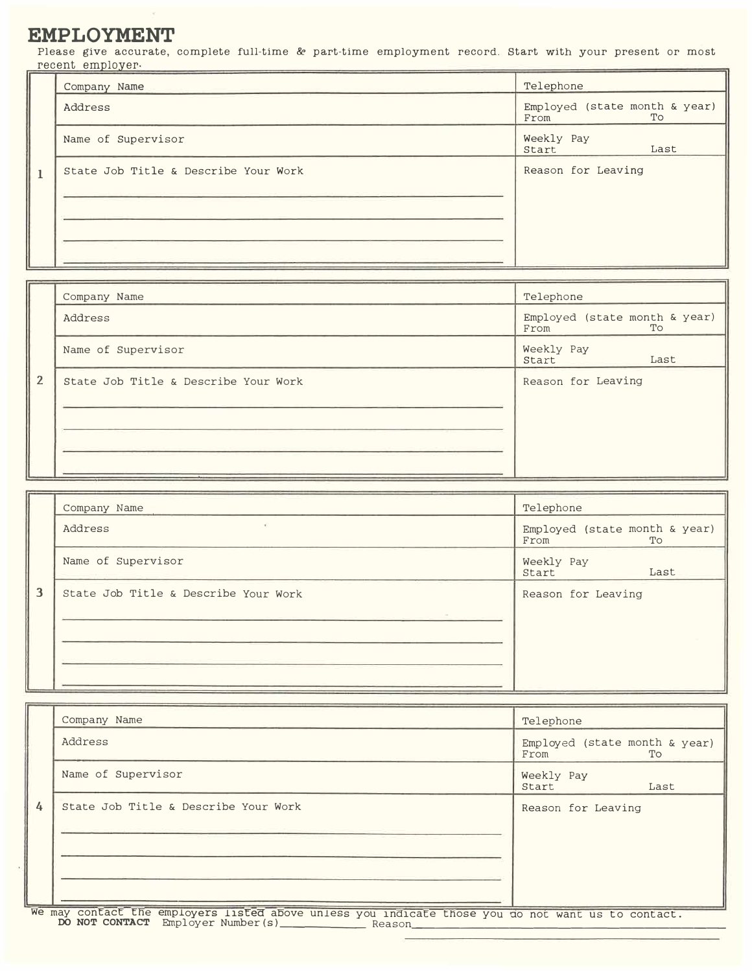### **EMPLOYMENT**

Please give accurate, complete full-time & part-time employment record. Start with your present or most recent employer.

|              | Company Name                         | Telephone                                   |
|--------------|--------------------------------------|---------------------------------------------|
|              | Address                              | Employed (state month & year)<br>To<br>From |
|              | Name of Supervisor                   | Weekly Pay<br>Start<br>Last                 |
| $\mathbf{1}$ | State Job Title & Describe Your Work | Reason for Leaving                          |
|              |                                      |                                             |

|                | Company Name                         | Telephone                                   |
|----------------|--------------------------------------|---------------------------------------------|
|                | Address                              | Employed (state month & year)<br>From<br>To |
|                | Name of Supervisor                   | Weekly Pay<br>Start<br>Last                 |
| $\overline{2}$ | State Job Title & Describe Your Work | Reason for Leaving                          |
|                |                                      |                                             |
|                |                                      |                                             |
|                |                                      |                                             |

|   | Company Name                         | Telephone                                   |  |
|---|--------------------------------------|---------------------------------------------|--|
|   | $\mathcal{L}$<br>Address             | Employed (state month & year)<br>To<br>From |  |
|   | Name of Supervisor                   | Weekly Pay<br>Start<br>Last                 |  |
| 3 | State Job Title & Describe Your Work | Reason for Leaving                          |  |
|   |                                      |                                             |  |
|   |                                      |                                             |  |

|   | Company Name                                                                                      | Telephone                                   |
|---|---------------------------------------------------------------------------------------------------|---------------------------------------------|
|   | Address                                                                                           | Employed (state month & year)<br>To<br>From |
|   | Name of Supervisor                                                                                | Weekly Pay<br>Start<br>Last                 |
| 4 | State Job Title & Describe Your Work                                                              | Reason for Leaving                          |
|   |                                                                                                   |                                             |
|   |                                                                                                   |                                             |
|   | We may confact the employers listed above unless you indicate these you do not want us to contact |                                             |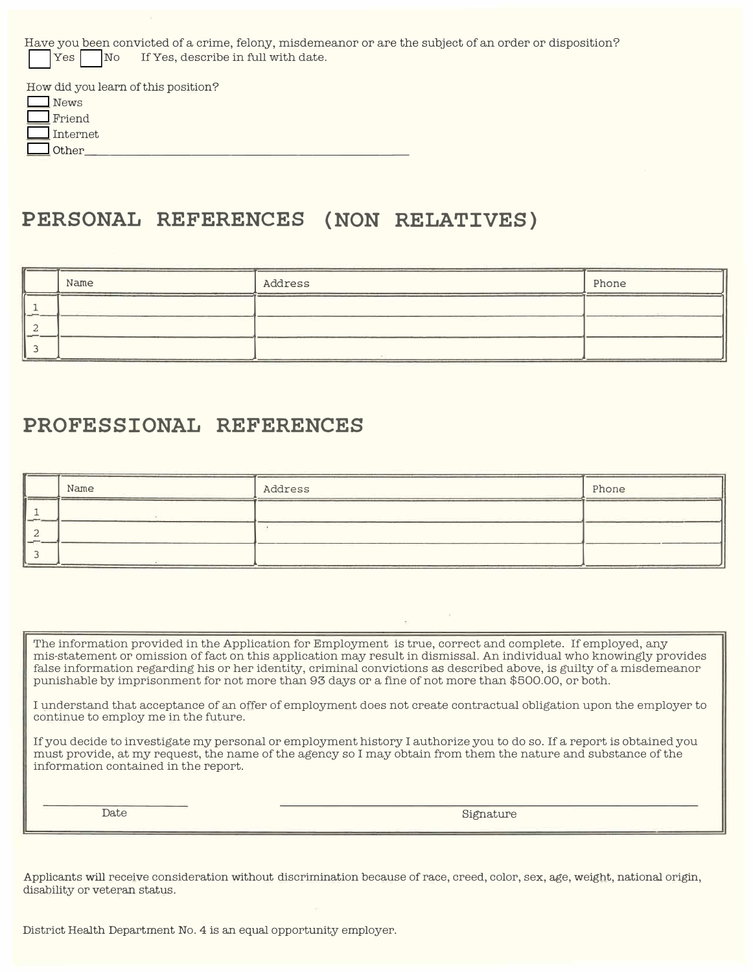| Have you been convicted of a crime, felony, misdemeanor or are the subject of an order or disposition? |
|--------------------------------------------------------------------------------------------------------|
|                                                                                                        |

| How did you learn of this position? |
|-------------------------------------|
| News                                |
| Friend                              |
| Internet                            |
| Other                               |

# **PERSONAL REFERENCES (NON RELATIVES)**

| Name | Address | Phone |
|------|---------|-------|
|      |         |       |
|      |         |       |
|      |         |       |

### **PROFESSIONAL REFERENCES**

|     | Name | Address | Phone |
|-----|------|---------|-------|
| ___ |      |         |       |
|     |      |         |       |
|     |      |         |       |

The information provided in the Application for Employment is true, correct and complete. If employed, any mis-statement or omission of fact on this application may result in dismissal. An individual who knowingly provides false information regarding his or her identity, criminal convictions as described above, is guilty of a misdemeanor punishable by imprisonment for not more than 93 days or a fine of not more than \$500.00, or both.

I understand that acceptance of an offer of employment does not create contractual obligation upon the employer to continue to employ me in the future.

If you decide to investigate my personal or employment history I authorize you to do so. If a report is obtained you must provide, at my request, the name of the agency so I may obtain from them the nature and substance of the information contained in the report.

Date Signature

Applicants will receive consideration without discrimination because of race, creed, color, sex, age, weight, national origin, disability or veteran status.

District Health Department No. 4 is an equal opportunity employer.